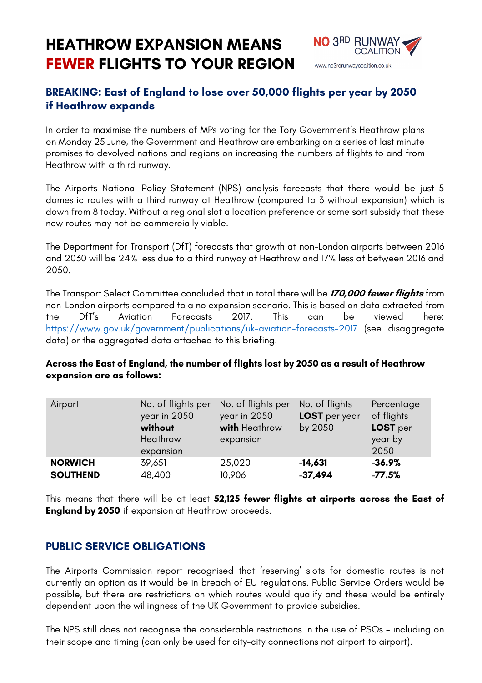# **HEATHROW EXPANSION MEANS FEWER FLIGHTS TO YOUR REGION**



## **BREAKING: East of England to lose over 50,000 flights per year by 2050 if Heathrow expands**

In order to maximise the numbers of MPs voting for the Tory Government's Heathrow plans on Monday 25 June, the Government and Heathrow are embarking on a series of last minute promises to devolved nations and regions on increasing the numbers of flights to and from Heathrow with a third runway.

The Airports National Policy Statement (NPS) analysis forecasts that there would be just 5 domestic routes with a third runway at Heathrow (compared to 3 without expansion) which is down from 8 today. Without a regional slot allocation preference or some sort subsidy that these new routes may not be commercially viable.

The Department for Transport (DfT) forecasts that growth at non-London airports between 2016 and 2030 will be 24% less due to a third runway at Heathrow and 17% less at between 2016 and 2050.

The Transport Select Committee concluded that in total there will be **170,000 fewer flights** from non-London airports compared to a no expansion scenario. This is based on data extracted from the DfT's Aviation Forecasts 2017. This can be viewed here: https://www.gov.uk/government/publications/uk-aviation-forecasts-2017 (see disaggregate data) or the aggregated data attached to this briefing.

#### **Across the East of England, the number of flights lost by 2050 as a result of Heathrow expansion are as follows:**

| Airport         | No. of flights per<br>year in 2050 | No. of flights per<br>year in 2050 | No. of flights<br>LOST per year | Percentage<br>of flights |
|-----------------|------------------------------------|------------------------------------|---------------------------------|--------------------------|
|                 | without                            | with Heathrow                      | by 2050                         | LOST per                 |
|                 | Heathrow                           | expansion                          |                                 | year by                  |
|                 | expansion                          |                                    |                                 | 2050                     |
| <b>NORWICH</b>  | 39,651                             | 25,020                             | $-14,631$                       | $-36.9%$                 |
| <b>SOUTHEND</b> | 48,400                             | 10,906                             | $-37,494$                       | $-77.5%$                 |

This means that there will be at least **52,125 fewer flights at airports across the East of England by 2050** if expansion at Heathrow proceeds.

#### **PUBLIC SERVICE OBLIGATIONS**

The Airports Commission report recognised that 'reserving' slots for domestic routes is not currently an option as it would be in breach of EU regulations. Public Service Orders would be possible, but there are restrictions on which routes would qualify and these would be entirely dependent upon the willingness of the UK Government to provide subsidies.

The NPS still does not recognise the considerable restrictions in the use of PSOs – including on their scope and timing (can only be used for city-city connections not airport to airport).